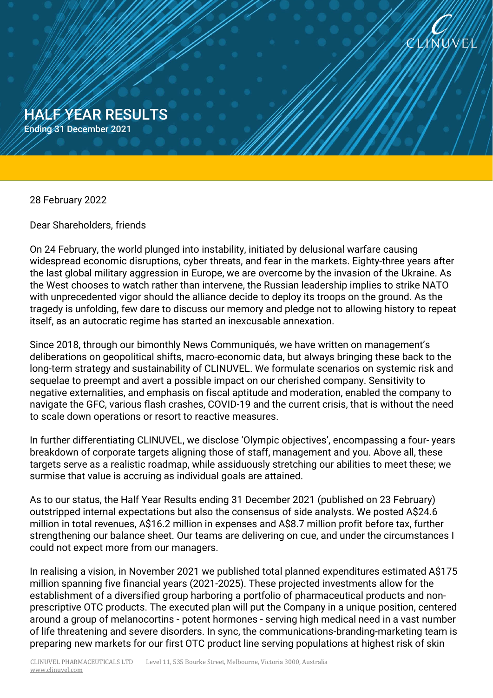

HALF YEAR RESULTS Ending 31 December 2021

28 February 2022

Half War Results of the Results of the Results of the Results of the Results of the Results of the Results of the Results of the Results of the Results of the Results of the Results of the Results of the Results of the Res

Ending 31 December 2021

Dear Shareholders, friends

On 24 February, the world plunged into instability, initiated by delusional warfare causing widespread economic disruptions, cyber threats, and fear in the markets. Eighty-three years after the last global military aggression in Europe, we are overcome by the invasion of the Ukraine. As the West chooses to watch rather than intervene, the Russian leadership implies to strike NATO with unprecedented vigor should the alliance decide to deploy its troops on the ground. As the tragedy is unfolding, few dare to discuss our memory and pledge not to allowing history to repeat itself, as an autocratic regime has started an inexcusable annexation.

Since 2018, through our bimonthly News Communiqués, we have written on management's deliberations on geopolitical shifts, macro-economic data, but always bringing these back to the long-term strategy and sustainability of CLINUVEL. We formulate scenarios on systemic risk and sequelae to preempt and avert a possible impact on our cherished company. Sensitivity to negative externalities, and emphasis on fiscal aptitude and moderation, enabled the company to navigate the GFC, various flash crashes, COVID-19 and the current crisis, that is without the need to scale down operations or resort to reactive measures.

In further differentiating CLINUVEL, we disclose 'Olympic objectives', encompassing a four- years breakdown of corporate targets aligning those of staff, management and you. Above all, these targets serve as a realistic roadmap, while assiduously stretching our abilities to meet these; we surmise that value is accruing as individual goals are attained.

As to our status, the Half Year Results ending 31 December 2021 (published on 23 February) outstripped internal expectations but also the consensus of side analysts. We posted A\$24.6 million in total revenues, A\$16.2 million in expenses and A\$8.7 million profit before tax, further strengthening our balance sheet. Our teams are delivering on cue, and under the circumstances I could not expect more from our managers.

In realising a vision, in November 2021 we published total planned expenditures estimated A\$175 million spanning five financial years (2021-2025). These projected investments allow for the establishment of a diversified group harboring a portfolio of pharmaceutical products and nonprescriptive OTC products. The executed plan will put the Company in a unique position, centered around a group of melanocortins - potent hormones - serving high medical need in a vast number of life threatening and severe disorders. In sync, the communications-branding-marketing team is preparing new markets for our first OTC product line serving populations at highest risk of skin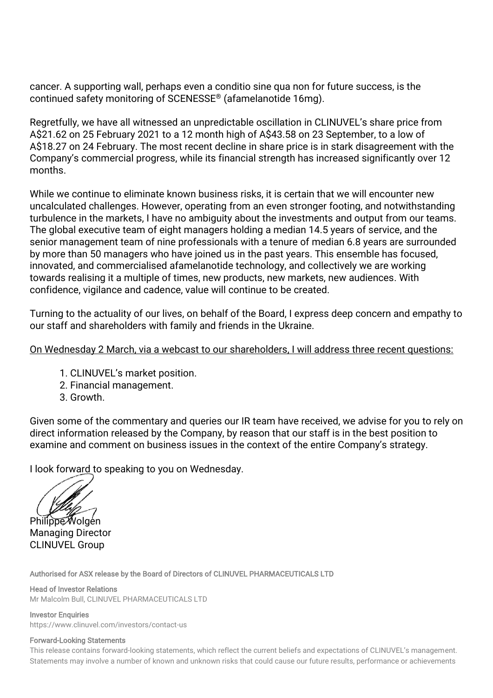cancer. A supporting wall, perhaps even a conditio sine qua non for future success, is the continued safety monitoring of SCENESSE® (afamelanotide 16mg).

Regretfully, we have all witnessed an unpredictable oscillation in CLINUVEL's share price from A\$21.62 on 25 February 2021 to a 12 month high of A\$43.58 on 23 September, to a low of A\$18.27 on 24 February. The most recent decline in share price is in stark disagreement with the Company's commercial progress, while its financial strength has increased significantly over 12 months.

While we continue to eliminate known business risks, it is certain that we will encounter new uncalculated challenges. However, operating from an even stronger footing, and notwithstanding turbulence in the markets, I have no ambiguity about the investments and output from our teams. The global executive team of eight managers holding a median 14.5 years of service, and the senior management team of nine professionals with a tenure of median 6.8 years are surrounded by more than 50 managers who have joined us in the past years. This ensemble has focused, innovated, and commercialised afamelanotide technology, and collectively we are working towards realising it a multiple of times, new products, new markets, new audiences. With confidence, vigilance and cadence, value will continue to be created.

Turning to the actuality of our lives, on behalf of the Board, I express deep concern and empathy to our staff and shareholders with family and friends in the Ukraine.

## On Wednesday 2 March, via a webcast to our shareholders, I will address three recent questions:

- 1. CLINUVEL's market position.
- 2. Financial management.
- 3. Growth.

Given some of the commentary and queries our IR team have received, we advise for you to rely on direct information released by the Company, by reason that our staff is in the best position to examine and comment on business issues in the context of the entire Company's strategy.

I look forward to speaking to you on Wednesday.

Philippe Wolgen Managing Director CLINUVEL Group

Authorised for ASX release by the Board of Directors of CLINUVEL PHARMACEUTICALS LTD

Head of Investor Relations Mr Malcolm Bull, CLINUVEL PHARMACEUTICALS LTD

**Investor Enquiries** <https://www.clinuvel.com/investors/contact-us>

## Forward-Looking Statements

This release contains forward-looking statements, which reflect the current beliefs and expectations of CLINUVEL's management. Statements may involve a number of known and unknown risks that could cause our future results, performance or achievements